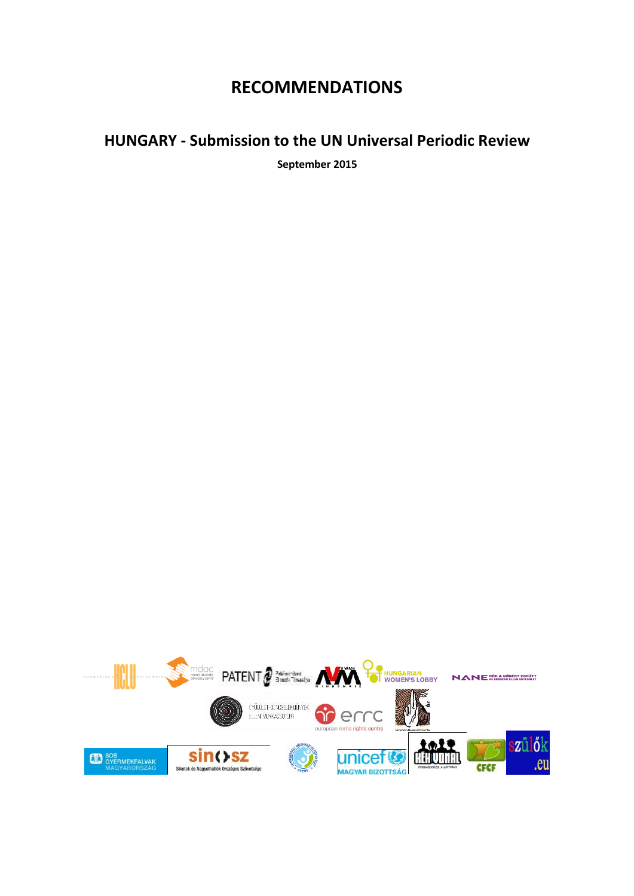## **RECOMMENDATIONS**

## **HUNGARY - Submission to the UN Universal Periodic Review**

**September 2015**

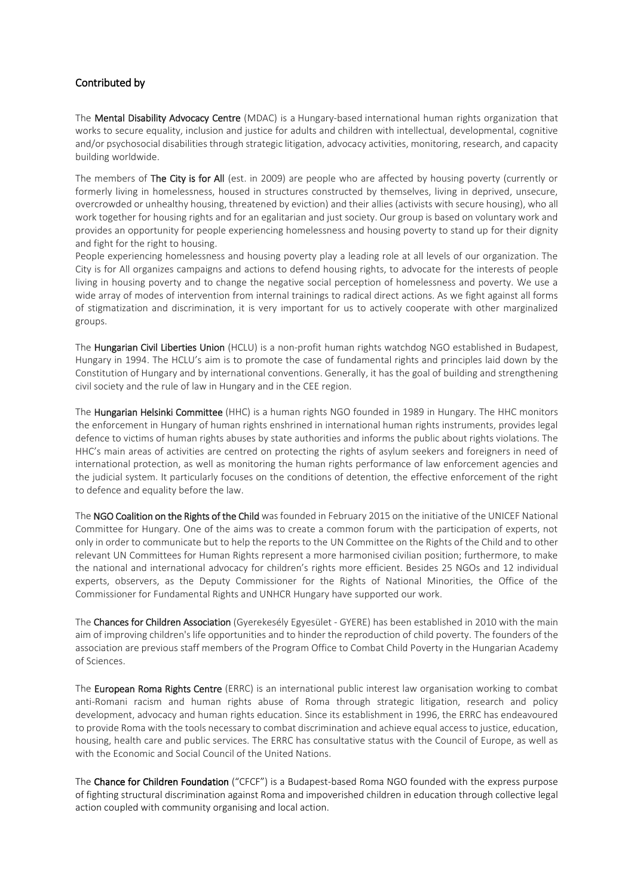## Contributed by

The Mental Disability Advocacy Centre (MDAC) is a Hungary-based international human rights organization that works to secure equality, inclusion and justice for adults and children with intellectual, developmental, cognitive and/or psychosocial disabilities through strategic litigation, advocacy activities, monitoring, research, and capacity building worldwide.

The members of The City is for All (est. in 2009) are people who are affected by housing poverty (currently or formerly living in homelessness, housed in structures constructed by themselves, living in deprived, unsecure, overcrowded or unhealthy housing, threatened by eviction) and their allies (activists with secure housing), who all work together for housing rights and for an egalitarian and just society. Our group is based on voluntary work and provides an opportunity for people experiencing homelessness and housing poverty to stand up for their dignity and fight for the right to housing.

People experiencing homelessness and housing poverty play a leading role at all levels of our organization. The City is for All organizes campaigns and actions to defend housing rights, to advocate for the interests of people living in housing poverty and to change the negative social perception of homelessness and poverty. We use a wide array of modes of intervention from internal trainings to radical direct actions. As we fight against all forms of stigmatization and discrimination, it is very important for us to actively cooperate with other marginalized groups.

The Hungarian Civil Liberties Union (HCLU) is a non-profit human rights watchdog NGO established in Budapest, Hungary in 1994. The HCLU's aim is to promote the case of fundamental rights and principles laid down by the Constitution of Hungary and by international conventions. Generally, it has the goal of building and strengthening civil society and the rule of law in Hungary and in the CEE region.

The Hungarian Helsinki Committee (HHC) is a human rights NGO founded in 1989 in Hungary. The HHC monitors the enforcement in Hungary of human rights enshrined in international human rights instruments, provides legal defence to victims of human rights abuses by state authorities and informs the public about rights violations. The HHC's main areas of activities are centred on protecting the rights of asylum seekers and foreigners in need of international protection, as well as monitoring the human rights performance of law enforcement agencies and the judicial system. It particularly focuses on the conditions of detention, the effective enforcement of the right to defence and equality before the law.

The NGO Coalition on the Rights of the Child was founded in February 2015 on the initiative of the UNICEF National Committee for Hungary. One of the aims was to create a common forum with the participation of experts, not only in order to communicate but to help the reports to the UN Committee on the Rights of the Child and to other relevant UN Committees for Human Rights represent a more harmonised civilian position; furthermore, to make the national and international advocacy for children's rights more efficient. Besides 25 NGOs and 12 individual experts, observers, as the Deputy Commissioner for the Rights of National Minorities, the Office of the Commissioner for Fundamental Rights and UNHCR Hungary have supported our work.

The Chances for Children Association (Gyerekesély Egyesület - GYERE) has been established in 2010 with the main aim of improving children's life opportunities and to hinder the reproduction of child poverty. The founders of the association are previous staff members of the Program Office to Combat Child Poverty in the Hungarian Academy of Sciences.

The European Roma Rights Centre (ERRC) is an international public interest law organisation working to combat anti-Romani racism and human rights abuse of Roma through strategic litigation, research and policy development, advocacy and human rights education. Since its establishment in 1996, the ERRC has endeavoured to provide Roma with the tools necessary to combat discrimination and achieve equal access to justice, education, housing, health care and public services. The ERRC has consultative status with the Council of Europe, as well as with the Economic and Social Council of the United Nations.

The Chance for Children Foundation ("CFCF") is a Budapest-based Roma NGO founded with the express purpose of fighting structural discrimination against Roma and impoverished children in education through collective legal action coupled with community organising and local action.